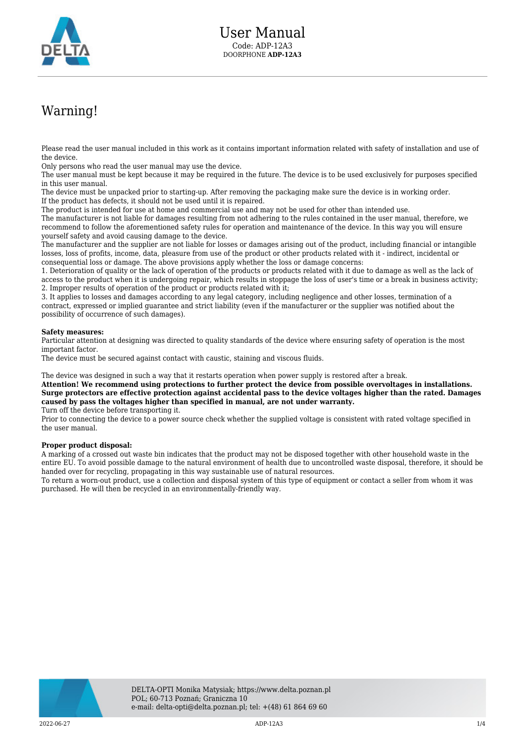

## Warning!

Please read the user manual included in this work as it contains important information related with safety of installation and use of the device.

Only persons who read the user manual may use the device.

The user manual must be kept because it may be required in the future. The device is to be used exclusively for purposes specified in this user manual.

The device must be unpacked prior to starting-up. After removing the packaging make sure the device is in working order. If the product has defects, it should not be used until it is repaired.

The product is intended for use at home and commercial use and may not be used for other than intended use.

The manufacturer is not liable for damages resulting from not adhering to the rules contained in the user manual, therefore, we recommend to follow the aforementioned safety rules for operation and maintenance of the device. In this way you will ensure yourself safety and avoid causing damage to the device.

The manufacturer and the supplier are not liable for losses or damages arising out of the product, including financial or intangible losses, loss of profits, income, data, pleasure from use of the product or other products related with it - indirect, incidental or consequential loss or damage. The above provisions apply whether the loss or damage concerns:

1. Deterioration of quality or the lack of operation of the products or products related with it due to damage as well as the lack of access to the product when it is undergoing repair, which results in stoppage the loss of user's time or a break in business activity; 2. Improper results of operation of the product or products related with it;

3. It applies to losses and damages according to any legal category, including negligence and other losses, termination of a contract, expressed or implied guarantee and strict liability (even if the manufacturer or the supplier was notified about the possibility of occurrence of such damages).

## **Safety measures:**

Particular attention at designing was directed to quality standards of the device where ensuring safety of operation is the most important factor.

The device must be secured against contact with caustic, staining and viscous fluids.

The device was designed in such a way that it restarts operation when power supply is restored after a break.

**Attention! We recommend using protections to further protect the device from possible overvoltages in installations. Surge protectors are effective protection against accidental pass to the device voltages higher than the rated. Damages caused by pass the voltages higher than specified in manual, are not under warranty.**

Turn off the device before transporting it.

Prior to connecting the device to a power source check whether the supplied voltage is consistent with rated voltage specified in the user manual.

## **Proper product disposal:**

A marking of a crossed out waste bin indicates that the product may not be disposed together with other household waste in the entire EU. To avoid possible damage to the natural environment of health due to uncontrolled waste disposal, therefore, it should be handed over for recycling, propagating in this way sustainable use of natural resources.

To return a worn-out product, use a collection and disposal system of this type of equipment or contact a seller from whom it was purchased. He will then be recycled in an environmentally-friendly way.

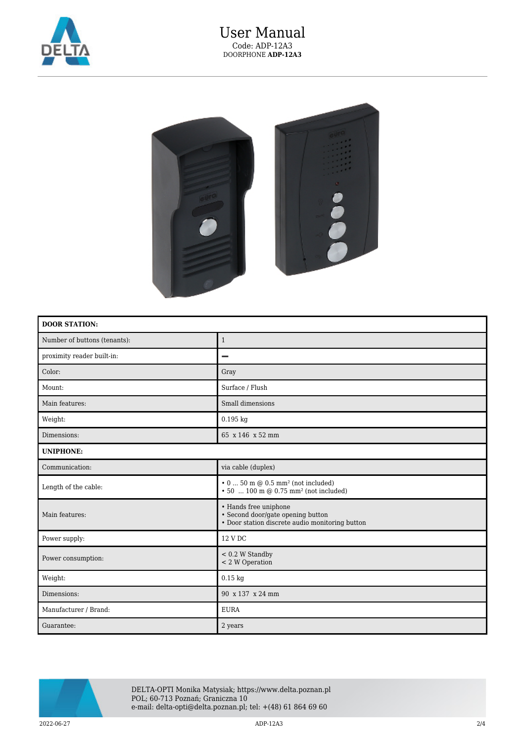

## User Manual Code: ADP-12A3 DOORPHONE **ADP-12A3**



| <b>DOOR STATION:</b>         |                                                                                                               |
|------------------------------|---------------------------------------------------------------------------------------------------------------|
| Number of buttons (tenants): | $\mathbf{1}$                                                                                                  |
| proximity reader built-in:   |                                                                                                               |
| Color:                       | Gray                                                                                                          |
| Mount:                       | Surface / Flush                                                                                               |
| Main features:               | Small dimensions                                                                                              |
| Weight:                      | $0.195$ kg                                                                                                    |
| Dimensions:                  | 65 x 146 x 52 mm                                                                                              |
| <b>UNIPHONE:</b>             |                                                                                                               |
| Communication:               | via cable (duplex)                                                                                            |
| Length of the cable:         | $\cdot$ 0  50 m @ 0.5 mm <sup>2</sup> (not included)<br>• 50  100 m $@$ 0.75 mm <sup>2</sup> (not included)   |
| Main features:               | • Hands free uniphone<br>• Second door/gate opening button<br>• Door station discrete audio monitoring button |
| Power supply:                | 12 V DC                                                                                                       |
| Power consumption:           | $< 0.2 W$ Standby<br>< 2 W Operation                                                                          |
| Weight:                      | $0.15$ kg                                                                                                     |
| Dimensions:                  | 90 x 137 x 24 mm                                                                                              |
| Manufacturer / Brand:        | <b>EURA</b>                                                                                                   |
| Guarantee:                   | 2 years                                                                                                       |



DELTA-OPTI Monika Matysiak; https://www.delta.poznan.pl POL; 60-713 Poznań; Graniczna 10 e-mail: delta-opti@delta.poznan.pl; tel: +(48) 61 864 69 60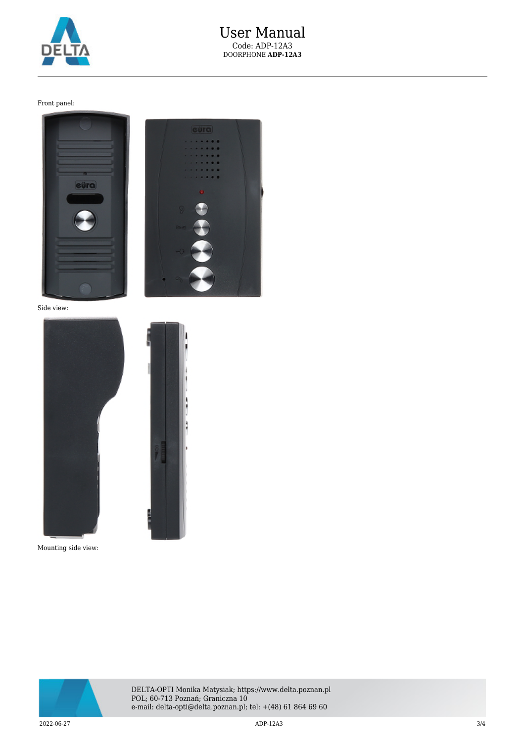

Front panel:



Side view: